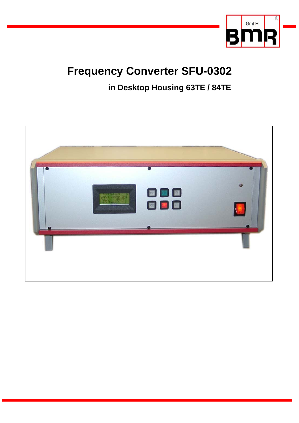

# **Frequency Converter SFU-0302**

# **in Desktop Housing 63TE / 84TE**

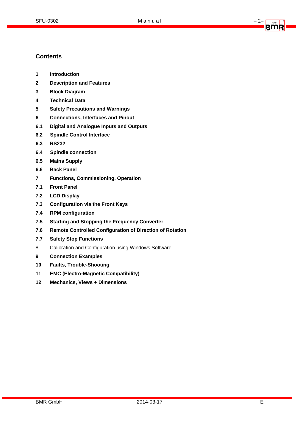#### **Contents**

- **1 Introduction**
- **2 Description and Features**
- **3 Block Diagram**
- **4 Technical Data**
- **5 Safety Precautions and Warnings**
- **6 Connections, Interfaces and Pinout**
- **6.1 Digital and Analogue Inputs and Outputs**
- **6.2 Spindle Control Interface**
- **6.3 RS232**
- **6.4 Spindle connection**
- **6.5 Mains Supply**
- **6.6 Back Panel**
- **7 Functions, Commissioning, Operation**
- **7.1 Front Panel**
- **7.2 LCD Display**
- **7.3 Configuration via the Front Keys**
- **7.4 RPM configuration**
- **7.5 Starting and Stopping the Frequency Converter**
- **7.6 Remote Controlled Configuration of Direction of Rotation**
- **7.7 Safety Stop Functions**
- 8 Calibration and Configuration using Windows Software
- **9 Connection Examples**
- **10 Faults, Trouble-Shooting**
- **11 EMC (Electro-Magnetic Compatibility)**
- **12 Mechanics, Views + Dimensions**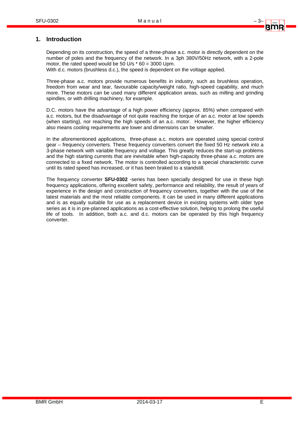Depending on its construction, the speed of a three-phase a.c. motor is directly dependent on the number of poles and the frequency of the network. In a 3ph 380V/50Hz network, with a 2-pole motor, the rated speed would be 50 U/s  $*$  60 = 3000 Upm.

With d.c. motors (brushless d.c.), the speed is dependent on the voltage applied.

 Three-phase a.c. motors provide numerous benefits in industry, such as brushless operation, freedom from wear and tear, favourable capacity/weight ratio, high-speed capability, and much more. These motors can be used many different application areas, such as milling and grinding spindles, or with drilling machinery, for example.

 D.C. motors have the advantage of a high power efficiency (approx. 85%) when compared with a.c. motors, but the disadvantage of not quite reaching the torque of an a.c. motor at low speeds (when starting), nor reaching the high speeds of an a.c. motor. However, the higher efficiency also means cooling requirements are lower and dimensions can be smaller.

 In the aforementioned applications, three-phase a.c. motors are operated using special control gear – frequency converters. These frequency converters convert the fixed 50 Hz network into a 3-phase network with variable frequency and voltage. This greatly reduces the start-up problems and the high starting currents that are inevitable when high-capacity three-phase a.c. motors are connected to a fixed network. The motor is controlled according to a special characteristic curve until its rated speed has increased, or it has been braked to a standstill.

 The frequency converter **SFU-0302** -series has been specially designed for use in these high frequency applications, offering excellent safety, performance and reliability, the result of years of experience in the design and construction of frequency converters, together with the use of the latest materials and the most reliable components. It can be used in many different applications and is as equally suitable for use as a replacement device in existing systems with older type series as it is in pre-planned applications as a cost-effective solution, helping to prolong the useful life of tools. In addition, both a.c. and d.c. motors can be operated by this high frequency converter.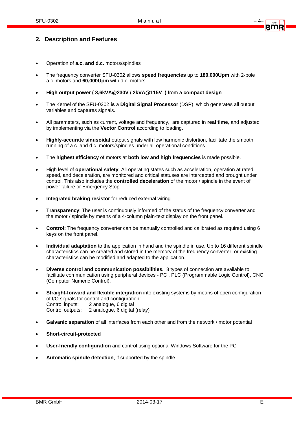#### **2. Description and Features**

- Operation of **a.c. and d.c.** motors/spindles
- The frequency converter SFU-0302 allows **speed frequencies** up to **180,000Upm** with 2-pole a.c. motors and **60,000Upm** with d.c. motors.
- **High output power ( 3,6kVA@230V / 2kVA@115V )** from a **compact design**
- The Kernel of the SFU-0302 **is** a **Digital Signal Processor** (DSP), which generates all output variables and captures signals.
- All parameters, such as current, voltage and frequency, are captured in **real time**, and adjusted by implementing via the **Vector Control** according to loading.
- **Highly-accurate sinusoidal** output signals with low harmonic distortion, facilitate the smooth running of a.c. and d.c. motors/spindles under all operational conditions.
- The **highest efficiency** of motors at **both low and high frequencies** is made possible.
- High level of **operational safety**. All operating states such as acceleration, operation at rated speed, and deceleration, are monitored and critical statuses are intercepted and brought under control. This also includes the **controlled deceleration** of the motor / spindle in the event of power failure or Emergency Stop.
- **Integrated braking resistor** for reduced external wiring.
- **Transparency**: The user is continuously informed of the status of the frequency converter and the motor / spindle by means of a 4-column plain-text display on the front panel.
- **Control:** The frequency converter can be manually controlled and calibrated as required using 6 keys on the front panel.
- **Individual adaptation** to the application in hand and the spindle in use. Up to 16 different spindle characteristics can be created and stored in the memory of the frequency converter, or existing characteristics can be modified and adapted to the application.
- **Diverse control and communication possibilities.** 3 types of connection are available to facilitate communication using peripheral devices - PC , PLC (Programmable Logic Control), CNC (Computer Numeric Control).
- **Straight-forward and flexible integration** into existing systems by means of open configuration of I/O signals for control and configuration: Control inputs: 2 analogue, 6 digital Control outputs: 2 analogue, 6 digital (relay)
- **Galvanic separation** of all interfaces from each other and from the network / motor potential
- **Short-circuit-protected**
- **User-friendly configuration** and control using optional Windows Software for the PC
- **Automatic spindle detection**, if supported by the spindle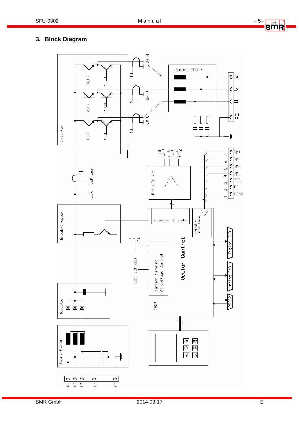# **3. Block Diagram**

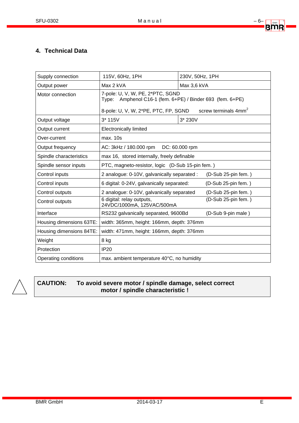

# **4. Technical Data**

| Supply connection        | 115V, 60Hz, 1PH                                                                                                                                                              | 230V, 50Hz, 1PH |  |
|--------------------------|------------------------------------------------------------------------------------------------------------------------------------------------------------------------------|-----------------|--|
| Output power             | Max 2 kVA<br>Max 3,6 kVA                                                                                                                                                     |                 |  |
| Motor connection         | 7-pole: U, V, W, PE, 2*PTC, SGND<br>Amphenol C16-1 (fem. 6+PE) / Binder 693 (fem. 6+PE)<br>Type:<br>screw terminals 4mm <sup>2</sup><br>8-pole: U, V, W, 2*PE, PTC, FP, SGND |                 |  |
| Output voltage           | 3* 115V                                                                                                                                                                      | 3* 230V         |  |
| Output current           | <b>Electronically limited</b>                                                                                                                                                |                 |  |
| Over-current             | max. 10s                                                                                                                                                                     |                 |  |
| Output frequency         | AC: 3kHz / 180.000 rpm<br>DC: 60.000 rpm                                                                                                                                     |                 |  |
| Spindle characteristics  | max 16, stored internally, freely definable                                                                                                                                  |                 |  |
| Spindle sensor inputs    | PTC, magneto-resistor, logic (D-Sub 15-pin fem.)                                                                                                                             |                 |  |
| Control inputs           | 2 analogue: 0-10V, galvanically separated :<br>(D-Sub 25-pin fem.)                                                                                                           |                 |  |
| Control inputs           | 6 digital: 0-24V, galvanically separated:<br>(D-Sub 25-pin fem.)                                                                                                             |                 |  |
| Control outputs          | (D-Sub 25-pin fem.)<br>2 analogue: 0-10V, galvanically separated                                                                                                             |                 |  |
| Control outputs          | 6 digital: relay outputs,<br>(D-Sub 25-pin fem.)<br>24VDC/1000mA, 125VAC/500mA                                                                                               |                 |  |
| Interface                | (D-Sub 9-pin male)<br>RS232 galvanically separated, 9600Bd                                                                                                                   |                 |  |
| Housing dimensions 63TE: | width: 365mm, height: 166mm, depth: 376mm                                                                                                                                    |                 |  |
| Housing dimensions 84TE: | width: 471mm, height: 166mm, depth: 376mm                                                                                                                                    |                 |  |
| Weight                   | 8 kg                                                                                                                                                                         |                 |  |
| Protection               | <b>IP20</b>                                                                                                                                                                  |                 |  |
| Operating conditions     | max. ambient temperature 40°C, no humidity                                                                                                                                   |                 |  |



# **CAUTION: To avoid severe motor / spindle damage, select correct motor / spindle characteristic !**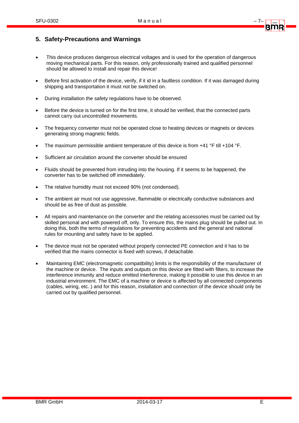- This device produces dangerous electrical voltages and is used for the operation of dangerous moving mechanical parts. For this reason, only professionally trained and qualified personnel should be allowed to install and repair this device!
- Before first activation of the device, verify, if it id in a faultless condition. If it was damaged during shipping and transportation it must not be switched on.
- During installation the safety regulations have to be observed.
- Before the device is turned on for the first time, it should be verified, that the connected parts cannot carry out uncontrolled movements.
- The frequency converter must not be operated close to heating devices or magnets or devices generating strong magnetic fields.
- The maximum permissible ambient temperature of this device is from +41 °F till +104 °F.
- Sufficient air circulation around the converter should be ensured
- Fluids should be prevented from intruding into the housing. If it seems to be happened, the converter has to be switched off immediately.
- The relative humidity must not exceed 90% (not condensed).
- The ambient air must not use aggressive, flammable or electrically conductive substances and should be as free of dust as possible.
- All repairs and maintenance on the converter and the relating accessories must be carried out by skilled personal and with powered off, only. To ensure this, the mains plug should be pulled out. In doing this, both the terms of regulations for preventing accidents and the general and national rules for mounting and safety have to be applied.
- The device must not be operated without properly connected PE connection and it has to be verified that the mains connector is fixed with screws, if detachable.
- Maintaining EMC (electromagnetic compatibility) limits is the responsibility of the manufacturer of the machine or device. The inputs and outputs on this device are fitted with filters, to increase the interference immunity and reduce emitted interference, making it possible to use this device in an industrial environment. The EMC of a machine or device is affected by all connected components (cables, wiring, etc..) and for this reason, installation and connection of the device should only be carried out by qualified personnel.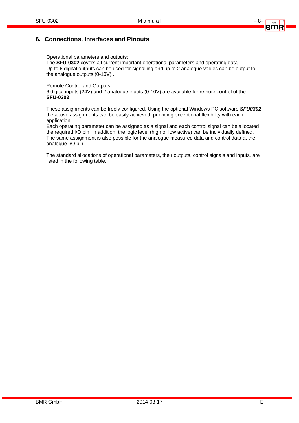

#### **6. Connections, Interfaces and Pinouts**

Operational parameters and outputs:

 The **SFU-0302** covers all current important operational parameters and operating data. Up to 6 digital outputs can be used for signalling and up to 2 analogue values can be output to the analogue outputs (0-10V) .

Remote Control and Outputs:

 6 digital inputs (24V) and 2 analogue inputs (0-10V) are available for remote control of the **SFU-0302**.

 These assignments can be freely configured. Using the optional Windows PC software *SFU0302* the above assignments can be easily achieved, providing exceptional flexibility with each application

 Each operating parameter can be assigned as a signal and each control signal can be allocated the required I/O pin. In addition, the logic level (high or low active) can be individually defined. The same assignment is also possible for the analogue measured data and control data at the analogue I/O pin.

 The standard allocations of operational parameters, their outputs, control signals and inputs, are listed in the following table.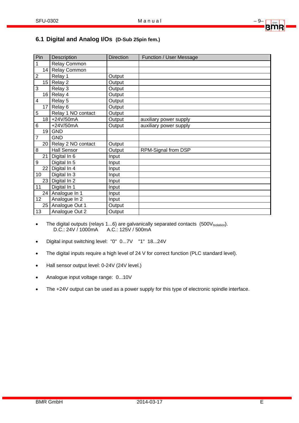

# **6.1 Digital and Analog I/Os (D-Sub 25pin fem.)**

| I<br>Pin        | Description        | <b>Direction</b> | Function / User Message |
|-----------------|--------------------|------------------|-------------------------|
| $\mathbf{1}$    | Relay Common       |                  |                         |
| 14              | Relay Common       |                  |                         |
| $\overline{2}$  | Relay 1            | Output           |                         |
| 15 <sup>1</sup> | Relay 2            | Output           |                         |
| $\overline{3}$  | Relay 3            | Output           |                         |
| 16              | Relay 4            | Output           |                         |
| $\overline{4}$  | Relay 5            | Output           |                         |
| 17              | Relay <sub>6</sub> | Output           |                         |
| 5               | Relay 1 NO contact | Output           |                         |
| 18              | +24V/50mA          | Output           | auxiliary power supply  |
| $6\phantom{1}6$ | +24V/50mA          | Output           | auxiliary power supply  |
| 19              | <b>GND</b>         |                  |                         |
| $\overline{7}$  | <b>GND</b>         |                  |                         |
| 20              | Relay 2 NO contact | Output           |                         |
| 8               | <b>Hall Sensor</b> | Output           | RPM-Signal from DSP     |
| 21              | Digital In 6       | Input            |                         |
| 9               | Digital In 5       | Input            |                         |
| 22              | Digital In 4       | Input            |                         |
| 10              | Digital In 3       | Input            |                         |
| 23              | Digital In 2       | Input            |                         |
| 11              | Digital In 1       | Input            |                         |
| 24              | Analogue In 1      | Input            |                         |
| 12              | Analogue In 2      | Input            |                         |
| 25              | Analogue Out 1     | Output           |                         |
| 13              | Analogue Out 2     | Output           |                         |

The digital outputs (relays 1...6) are galvanically separated contacts  $(500V<sub>Isolation</sub>)$ .<br>D.C.: 24V / 1000mA  $A.C.: 125V/500mA$ A.C.: 125V / 500mA

- Digital input switching level: "0" 0...7V "1" 18...24V
- The digital inputs require a high level of 24 V for correct function (PLC standard level).
- Hall sensor output level: 0-24V (24V level.)
- Analogue input voltage range: 0...10V
- The +24V output can be used as a power supply for this type of electronic spindle interface.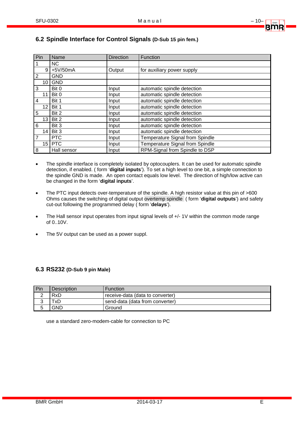

| Pin             | Name        | <b>Direction</b> | <b>Function</b>                 |
|-----------------|-------------|------------------|---------------------------------|
| $\vert$ 1       | <b>NC</b>   |                  |                                 |
| 9               | +5V/50mA    | Output           | for auxiliary power supply      |
| $\overline{2}$  | <b>GND</b>  |                  |                                 |
| 10 <sub>l</sub> | <b>GND</b>  |                  |                                 |
| 3               | Bit 0       | Input            | automatic spindle detection     |
| 11              | Bit 0       | Input            | automatic spindle detection     |
| $\overline{4}$  | Bit 1       | Input            | automatic spindle detection     |
| 12 <sub>1</sub> | Bit 1       | Input            | automatic spindle detection     |
| 5               | Bit 2       | Input            | automatic spindle detection     |
| 13 <sup>1</sup> | Bit 2       | Input            | automatic spindle detection     |
| 6               | Bit 3       | Input            | automatic spindle detection     |
| 14 <sub>1</sub> | Bit 3       | Input            | automatic spindle detection     |
| $\overline{7}$  | <b>PTC</b>  | Input            | Temperature Signal from Spindle |
|                 | $15$ PTC    | Input            | Temperature Signal from Spindle |
| 8               | Hall sensor | Input            | RPM-Signal from Spindle to DSP  |

### **6.2 Spindle Interface for Control Signals (D-Sub 15 pin fem.)**

- The spindle interface is completely isolated by optocouplers. It can be used for automatic spindle detection, if enabled. ( form '**digital inputs**'). To set a high level to one bit, a simple connection to the spindle GND is made. An open contact equals low level. The direction of high/low active can be changed in the form '**digital inputs**'.
- The PTC input detects over-temperature of the spindle. A high resistor value at this pin of >600 Ohms causes the switching of digital output overtemp spindle ( form '**digital outputs**') and safety cut-out following the programmed delay ( form '**delays**').
- The Hall sensor input operates from input signal levels of  $+/-1V$  within the common mode range of 0..10V.
- The 5V output can be used as a power suppl.

#### **6.3 RS232 (D-Sub 9 pin Male)**

| Pin        | <b>Description</b> | <b>Function</b>                  |
|------------|--------------------|----------------------------------|
| $\sqrt{2}$ | <b>RxD</b>         | receive-data (data to converter) |
| ◡          | ГxD                | send-data (data from converter)  |
| ς<br>ັ     | <b>GND</b>         | Ground                           |

use a standard zero-modem-cable for connection to PC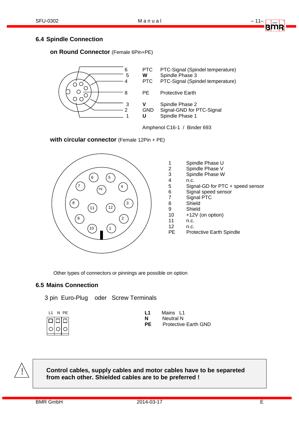### **6.4 Spindle Connection**

**on Round Connector** (Female 6Pin+PE)



Amphenol C16-1 / Binder 693





- 1 Spindle Phase U
- 2 Spindle Phase V 3 Spindle Phase W
	-
- 4 n.c.
- 5 Signal-GD for PTC + speed sensor
- 6 Signal speed sensor
- 7 Signal PTC
- 8 Shield
- 9 Shield
- 10 +12V (on option)
- 11 n.c.
- 12 n.c.<br>PE Prot
	- Protective Earth Spindle

Other types of connectors or pinnings are possible on option

#### **6.5 Mains Connection**

| 3 pin Euro-Plug oder Screw Terminals |
|--------------------------------------|
|--------------------------------------|



L1 N PE **L1** Mains L1 **N** Neutral N **PE** Protective Earth GND



 **Control cables, supply cables and motor cables have to be separeted from each other. Shielded cables are to be preferred !**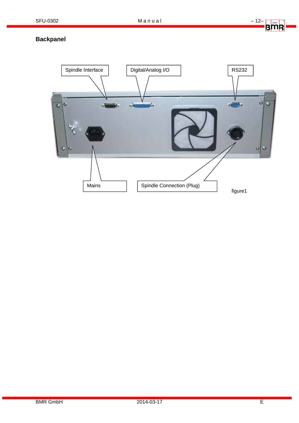# **Backpanel**

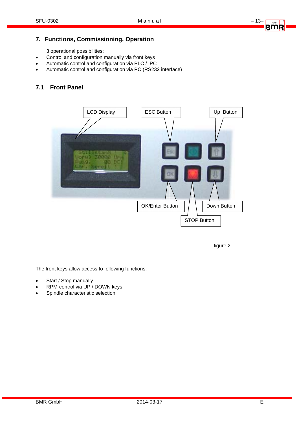# **7. Functions, Commissioning, Operation**

3 operational possibilities:

- Control and configuration manually via front keys
- Automatic control and configuration via PLC / IPC
- Automatic control and configuration via PC (RS232 interface)

# **7.1 Front Panel**



figure 2 and 2 and 2 and 2 and 2 and 2 and 2 and 2 and 2 and 2 and 2 and 2 and 2 and 2 and 2 and 2 and 2 and 2

The front keys allow access to following functions:

- Start / Stop manually
- RPM-control via UP / DOWN keys
- Spindle characteristic selection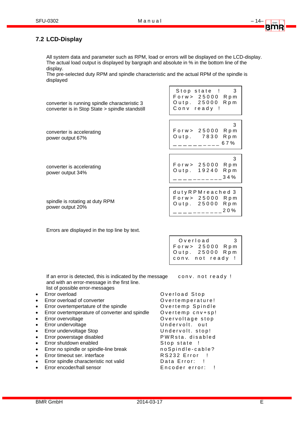# **7.2 LCD-Display**

All system data and parameter such as RPM, load or errors will be displayed on the LCD-display. The actual load output is displayed by bargraph and absolute in % in the bottom line of the display.

The pre-selected duty RPM and spindle characteristic and the actual RPM of the spindle is displayed

|           | converter is running spindle characteristic 3<br>converter is in Stop State > spindle standstill                                                               | Stop state !<br>3<br>Forw> 25000 Rpm<br>Outp. 25000<br>Rpm<br>Conv ready ! |
|-----------|----------------------------------------------------------------------------------------------------------------------------------------------------------------|----------------------------------------------------------------------------|
|           | converter is accelerating<br>power output 67%                                                                                                                  | 3<br>Forw> 25000<br>Rpm<br>Outp. 7830<br>$R$ p m<br>67%                    |
|           | converter is accelerating<br>power output 34%                                                                                                                  | 3<br>Forw> 25000<br>$Rp$ m<br>Outp. 19240<br>Rpm<br>34%                    |
|           | spindle is rotating at duty RPM<br>power output 20%                                                                                                            | duty RPM reached 3<br>Forw> 25000 Rpm<br>Outp. 25000 Rpm<br>20%            |
|           | Errors are displayed in the top line by text.                                                                                                                  |                                                                            |
|           |                                                                                                                                                                | Overload<br>3<br>Forw> 25000 Rpm<br>Outp. 25000 Rpm<br>conv. not ready !   |
|           | If an error is detected, this is indicated by the message conv. not ready !<br>and with an error-message in the first line.<br>list of possible error-messages |                                                                            |
|           | Error overload                                                                                                                                                 | Overload Stop                                                              |
| $\bullet$ | Error overload of converter<br>Error overtempertature of the spindle                                                                                           | Overtemperature!<br>Overtemp Spindle                                       |
|           | Error overtemperature of converter and spindle                                                                                                                 | Overtemp cnv+sp!                                                           |
|           | Error overvoltage                                                                                                                                              | Overvoltage stop                                                           |
|           | Error undervoltage<br>Error undervoltage Stop                                                                                                                  | Undervolt. out<br>Undervolt. stop!                                         |
|           | Error powerstage disabled                                                                                                                                      | PWRsta. disabled                                                           |
|           | Error shutdown enabled                                                                                                                                         | Stop state                                                                 |
|           | Error no spindle or spindle-line break<br>Error timeout ser. interface                                                                                         | noSpindle-cable?<br>RS232 Error                                            |
|           |                                                                                                                                                                |                                                                            |

• Error spindle characteristic not valid  $\begin{array}{ccc} \hline \text{P} & \text{D} & \text{D} & \text{D} & \text{D} & \text{D} & \text{E} & \text{F} & \text{F} & \text{F} & \text{F} & \text{F} & \text{F} & \text{F} & \text{F} & \text{F} & \text{F} & \text{F} & \text{F} & \text{F} & \text{F} & \text{F} & \text{F} & \text{F} & \text{F} & \text{F} & \text{F} & \text{F} & \text$ 

• Error encoder/hall sensor **Encoder error**: !

**BMR GmbH** 2014-03-17 **E**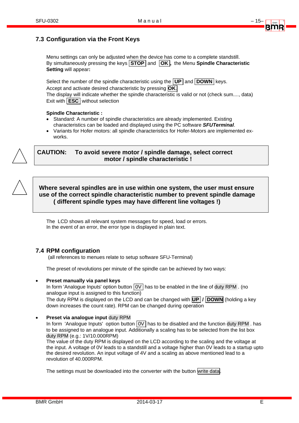## **7.3 Configuration via the Front Keys**

Menu settings can only be adjusted when the device has come to a complete standstill. By simultaneously pressing the keys **STOP** and **OK ,** the Menu **Spindle Characteristic Setting** will appear**:** 

Select the number of the spindle characteristic using the **UP** and **DOWN** keys. Accept and activate desired characteristic by pressing **OK**.

The display will indicate whether the spindle characteristic is valid or not (check sum...., data) Exit with **ESC** without selection

#### **Spindle Characteristic :**

- Standard: A number of spindle characteristics are already implemented. Existing characteristics can be loaded and displayed using the PC software *SFUTerminal*.
- Variants for Hofer motors: all spindle characteristics for Hofer-Motors are implemented exworks.

**CAUTION: To avoid severe motor / spindle damage, select correct motor / spindle characteristic !** 



 **Where several spindles are in use within one system, the user must ensure use of the correct spindle characteristic number to prevent spindle damage ( different spindle types may have different line voltages !)** 

The LCD shows all relevant system messages for speed, load or errors. In the event of an error, the error type is displayed in plain text.

### **7.4 RPM configuration**

(all references to menues relate to setup software SFU-Terminal)

The preset of revolutions per minute of the spindle can be achieved by two ways:

#### • **Preset manually via panel keys**

In form 'Analogue Inputs' option button  $\overline{O}V$  has to be enabled in the line of duty RPM . (no analogue input is assigned to this function)

The duty RPM is displayed on the LCD and can be changed with **UP / DOWN** (holding a key down increases the count rate). RPM can be changed during operation

#### • **Preset via analogue input** duty RPM

In form 'Analogue Inputs' option button  $\overline{O}V$  has to be disabled and the function duty RPM . has to be assigned to an analogue input. Additionally a scaling has to be selected from the list box duty RPM (e.g.: 1V/10.000RPM)

The value of the duty RPM is displayed on the LCD according to the scaling and the voltage at the input. A voltage of 0V leads to a standstill and a voltage higher than 0V leads to a startup upto the desired revolution. An input voltage of 4V and a scaling as above mentioned lead to a revolution of 40.000RPM.

The settings must be downloaded into the converter with the button write data.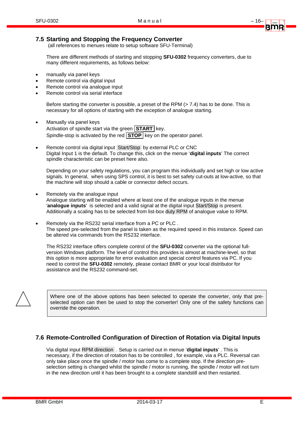#### **7.5 Starting and Stopping the Frequency Converter**

(all references to menues relate to setup software SFU-Terminal)

There are different methods of starting and stopping **SFU-0302** frequency converters, due to many different requirements, as follows below:

- manually via panel keys
- Remote control via digital input
- Remote control via analogue input
- Remote control via serial interface

Before starting the converter is possible, a preset of the RPM ( $> 7.4$ ) has to be done. This is necessary for all options of starting with the exception of analogue starting.

- Manually via panel keys Activation of spindle start via the green **START** key. Spindle-stop is activated by the red **STOP** key on the operator panel.
- Remote control via digital input Start/Stop by external PLC or CNC Digital Input 1 is the default. To change this, click on the menue '**digital inputs**' The correct spindle characteristic can be preset here also.

Depending on your safety regulations, you can program this individually and set high or low active signals. In general, when using SPS control, it is best to set safety cut-outs at low-active, so that the machine will stop should a cable or connector defect occurs.

- Remotely via the analogue input Analogue starting will be enabled where at least one of the analogue inputs in the menue '**analogue inputs**' is selected and a valid signal at the digital input Start/Stop is present. Additionally a scaling has to be selected from list-box duty RPM of analogue value to RPM.
- Remotely via the RS232 serial interface from a PC or PLC . The speed pre-selected from the panel is taken as the required speed in this instance. Speed can be altered via commands from the RS232 interface.

The RS232 interface offers complete control of the **SFU-0302** converter via the optional fullversion Windows platform. The level of control this provides is almost at machine-level, so that this option is more appropriate for error evaluation and special control features via PC. If you need to control the **SFU-0302** remotely, please contact BMR or your local distributor for assistance and the RS232 command-set.



Where one of the above options has been selected to operate the converter, only that preselected option can then be used to stop the converter! Only one of the safety functions can override the operation.

#### **7.6 Remote-Controlled Configuration of Direction of Rotation via Digital Inputs**

Via digital input RPM direction . Setup is carried out in menue '**digital inputs**' . This is necessary, if the direction of rotation has to be controlled , for example, via a PLC. Reversal can only take place once the spindle / motor has come to a complete stop. If the direction preselection setting is changed whilst the spindle / motor is running, the spindle / motor will not turn in the new direction until it has been brought to a complete standstill and then restarted.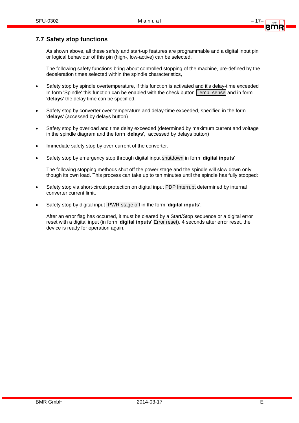As shown above, all these safety and start-up features are programmable and a digital input pin or logical behaviour of this pin (high-, low-active) can be selected.

The following safety functions bring about controlled stopping of the machine, pre-defined by the deceleration times selected within the spindle characteristics,

- Safety stop by spindle overtemperature, if this function is activated and it's delay-time exceeded In form 'Spindle' this function can be enabled with the check button Temp. sense and in form '**delays**' the delay time can be specified.
- Safety stop by converter over-temperature and delay-time exceeded, specified in the form '**delays**' (accessed by delays button)
- Safety stop by overload and time delay exceeded (determined by maximum current and voltage in the spindle diagram and the form '**delays**', accessed by delays button)
- Immediate safety stop by over-current of the converter.
- Safety stop by emergency stop through digital input shutdown in form '**digital inputs**'

 The following stopping methods shut off the power stage and the spindle will slow down only though its own load. This process can take up to ten minutes until the spindle has fully stopped:

- Safety stop via short-circuit protection on digital input PDP Interrupt determined by internal converter current limit.
- Safety stop by digital input PWR stage off in the form '**digital inputs**'.

 After an error flag has occurred, it must be cleared by a Start/Stop sequence or a digital error reset with a digital input (in form '**digital inputs**' Error reset). 4 seconds after error reset, the device is ready for operation again.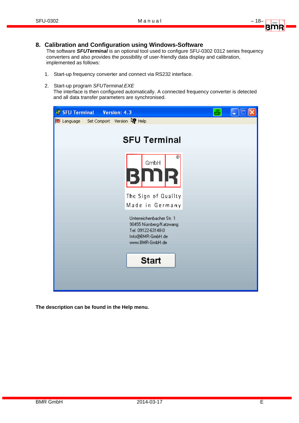

## **8. Calibration and Configuration using Windows-Software**

The software *SFUTerminal* is an optional tool used to configure SFU-0302 0312 series frequency converters and also provides the possibility of user-friendly data display and calibration, implemented as follows:

- 1. Start-up frequency converter and connect via RS232 interface.
- 2. Start-up program *SFUTerminal.EXE*

The interface is then configured automatically. A connected frequency converter is detected and all data transfer parameters are synchronised.

| <b>T</b> SFU Terminal Version: 4.3                     |                                                                                                                  | 4 |  |
|--------------------------------------------------------|------------------------------------------------------------------------------------------------------------------|---|--|
| <b>RET</b> Language Set Comport Version <b>AP</b> Help |                                                                                                                  |   |  |
|                                                        | <b>SFU Terminal</b>                                                                                              |   |  |
|                                                        | ⊛<br>GmbH<br>BMR<br>The Sign of Quality                                                                          |   |  |
|                                                        | Made in Germany                                                                                                  |   |  |
|                                                        | Unterreichenbacher Str. 1<br>90455 Nümberg/Katzwang<br>Tel. 09122-63148-0<br>Info@BMR-GmbH.de<br>www.BMR-GmbH.de |   |  |
|                                                        | <b>Start</b>                                                                                                     |   |  |
|                                                        |                                                                                                                  |   |  |
|                                                        |                                                                                                                  |   |  |

**The description can be found in the Help menu.**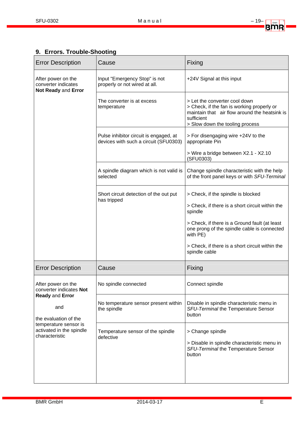# **9. Errors. Trouble-Shooting**

| <b>Error Description</b>                                            | Cause                                                                           | Fixing                                                                                                                                                                        |
|---------------------------------------------------------------------|---------------------------------------------------------------------------------|-------------------------------------------------------------------------------------------------------------------------------------------------------------------------------|
| After power on the<br>converter indicates<br>Not Ready and Error    | Input "Emergency Stop" is not<br>properly or not wired at all.                  | +24V Signal at this input                                                                                                                                                     |
|                                                                     | The converter is at excess<br>temperature                                       | > Let the converter cool down<br>> Check, if the fan is working properly or<br>maintain that air flow around the heatsink is<br>sufficient<br>> Slow down the tooling process |
|                                                                     | Pulse inhibitor circuit is engaged, at<br>devices with such a circuit (SFU0303) | > For disengaging wire +24V to the<br>appropriate Pin                                                                                                                         |
|                                                                     |                                                                                 | > Wire a bridge between X2.1 - X2.10<br>(SFU0303)                                                                                                                             |
|                                                                     | A spindle diagram which is not valid is<br>selected                             | Change spindle characteristic with the help<br>of the front panel keys or with SFU-Terminal                                                                                   |
|                                                                     | Short circuit detection of the out put<br>has tripped                           | > Check, if the spindle is blocked<br>> Check, if there is a short circuit within the<br>spindle                                                                              |
|                                                                     |                                                                                 | > Check, if there is a Ground fault (at least<br>one prong of the spindle cable is connected<br>with PE)                                                                      |
|                                                                     |                                                                                 | > Check, if there is a short circuit within the<br>spindle cable                                                                                                              |
| <b>Error Description</b>                                            | Cause                                                                           | Fixing                                                                                                                                                                        |
| After power on the<br>converter indicates Not<br>Ready and Error    | No spindle connected                                                            | Connect spindle                                                                                                                                                               |
| and<br>the evaluation of the                                        | No temperature sensor present within<br>the spindle                             | Disable in spindle characteristic menu in<br>SFU-Terminal the Temperature Sensor<br>button                                                                                    |
| temperature sensor is<br>activated in the spindle<br>characteristic | Temperature sensor of the spindle<br>defective                                  | > Change spindle<br>> Disable in spindle characteristic menu in<br>SFU-Terminal the Temperature Sensor<br>button                                                              |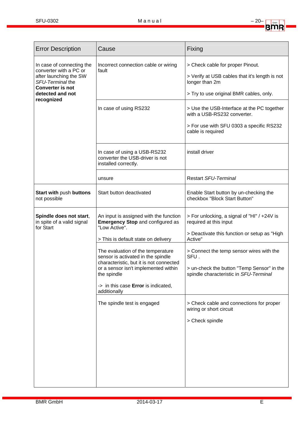| <b>Error Description</b>                                                                                                                                       | Cause                                                                                                                                                                     | Fixing                                                                                                                                          |
|----------------------------------------------------------------------------------------------------------------------------------------------------------------|---------------------------------------------------------------------------------------------------------------------------------------------------------------------------|-------------------------------------------------------------------------------------------------------------------------------------------------|
| In case of connecting the<br>converter with a PC or<br>after launching the SW<br>SFU-Terminal the<br><b>Converter is not</b><br>detected and not<br>recognized | Incorrect connection cable or wiring<br>fault                                                                                                                             | > Check cable for proper Pinout.<br>> Verify at USB cables that it's length is not<br>longer than 2m<br>> Try to use original BMR cables, only. |
|                                                                                                                                                                | In case of using RS232                                                                                                                                                    | > Use the USB-Interface at the PC together<br>with a USB-RS232 converter.<br>> For use with SFU 0303 a specific RS232<br>cable is required      |
|                                                                                                                                                                | In case of using a USB-RS232<br>converter the USB-driver is not<br>installed correctly.                                                                                   | install driver                                                                                                                                  |
|                                                                                                                                                                | unsure                                                                                                                                                                    | <b>Restart SFU-Terminal</b>                                                                                                                     |
| <b>Start with push buttons</b><br>not possible                                                                                                                 | Start button deactivated                                                                                                                                                  | Enable Start button by un-checking the<br>checkbox "Block Start Button"                                                                         |
| Spindle does not start,<br>in spite of a valid signal<br>for Start                                                                                             | An input is assigned with the function<br><b>Emergency Stop and configured as</b><br>"Low Active".                                                                        | > For unlocking, a signal of "HI" / +24V is<br>required at this input<br>> Deactivate this function or setup as "High                           |
|                                                                                                                                                                | > This is default state on delivery                                                                                                                                       | Active"                                                                                                                                         |
|                                                                                                                                                                | The evaluation of the temperature<br>sensor is activated in the spindle<br>characteristic, but it is not connected<br>or a sensor isn't implemented within<br>the spindle | > Connect the temp sensor wires with the<br>SFU.<br>> un-check the button "Temp Sensor" in the<br>spindle characteristic in SFU-Terminal        |
|                                                                                                                                                                | -> in this case <b>Error</b> is indicated,<br>additionally                                                                                                                |                                                                                                                                                 |
|                                                                                                                                                                | The spindle test is engaged                                                                                                                                               | > Check cable and connections for proper<br>wiring or short circuit                                                                             |
|                                                                                                                                                                |                                                                                                                                                                           | > Check spindle                                                                                                                                 |
|                                                                                                                                                                |                                                                                                                                                                           |                                                                                                                                                 |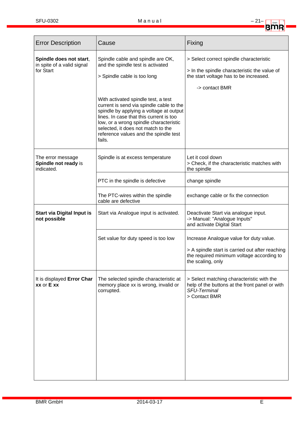

| <b>Error Description</b>                                                                                                                                                                                                                                                                                                                                                                                                                                                                | Cause                                                                                        | Fixing                                                                                                                                                       |
|-----------------------------------------------------------------------------------------------------------------------------------------------------------------------------------------------------------------------------------------------------------------------------------------------------------------------------------------------------------------------------------------------------------------------------------------------------------------------------------------|----------------------------------------------------------------------------------------------|--------------------------------------------------------------------------------------------------------------------------------------------------------------|
| Spindle cable and spindle are OK,<br>Spindle does not start,<br>in spite of a valid signal<br>and the spindle test is activated<br>for Start<br>> Spindle cable is too long<br>With activated spindle test, a test<br>current is send via spindle cable to the<br>spindle by applying a voltage at output<br>lines. In case that this current is too<br>low, or a wrong spindle characteristic<br>selected, it does not match to the<br>reference values and the spindle test<br>fails. |                                                                                              | > Select correct spindle characteristic<br>> In the spindle characteristic the value of<br>the start voltage has to be increased.<br>-> contact BMR          |
| The error message<br>Spindle not ready is<br>indicated.                                                                                                                                                                                                                                                                                                                                                                                                                                 | Spindle is at excess temperature                                                             | Let it cool down<br>> Check, if the characteristic matches with<br>the spindle                                                                               |
|                                                                                                                                                                                                                                                                                                                                                                                                                                                                                         | PTC in the spindle is defective                                                              | change spindle                                                                                                                                               |
|                                                                                                                                                                                                                                                                                                                                                                                                                                                                                         | The PTC-wires within the spindle<br>cable are defective                                      | exchange cable or fix the connection                                                                                                                         |
| <b>Start via Digital Input is</b><br>not possible                                                                                                                                                                                                                                                                                                                                                                                                                                       | Start via Analogue input is activated.                                                       | Deactivate Start via analogue input.<br>-> Manual: "Analogue Inputs"<br>and activate Digital Start                                                           |
|                                                                                                                                                                                                                                                                                                                                                                                                                                                                                         | Set value for duty speed is too low                                                          | Increase Analogue value for duty value.<br>> A spindle start is carried out after reaching<br>the required minimum voltage according to<br>the scaling, only |
| It is displayed Error Char<br>xx or E xx                                                                                                                                                                                                                                                                                                                                                                                                                                                | The selected spindle characteristic at<br>memory place xx is wrong, invalid or<br>corrupted. | > Select matching characteristic with the<br>help of the buttons at the front panel or with<br><b>SFU-Terminal</b><br>> Contact BMR                          |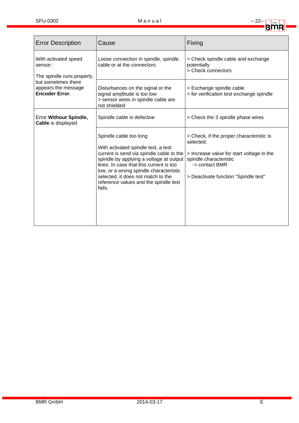

| <b>Error Description</b>                                            | Cause                                                                                                                                                                                                                                                                                                                              | Fixing                                                                                                                                                                                 |
|---------------------------------------------------------------------|------------------------------------------------------------------------------------------------------------------------------------------------------------------------------------------------------------------------------------------------------------------------------------------------------------------------------------|----------------------------------------------------------------------------------------------------------------------------------------------------------------------------------------|
| With activated speed<br>sensor:<br>The spindle runs properly,       | Loose connection in spindle, spindle<br>cable or at the connectors                                                                                                                                                                                                                                                                 | > Check spindle cable and exchange<br>potentially<br>> Check connectors                                                                                                                |
| but sometimes there<br>appears the message<br><b>Encoder Error.</b> | Disturbances on the signal or the<br>signal amplitude is too low<br>> sensor wires in spindle cable are<br>not shielded                                                                                                                                                                                                            | > Exchange spindle cable<br>> for verification test exchange spindle                                                                                                                   |
| <b>Error Without Spindle,</b><br><b>Cable</b> is displayed          | Spindle cable is defective                                                                                                                                                                                                                                                                                                         | > Check the 3 spindle phase wires                                                                                                                                                      |
|                                                                     | Spindle cable too long<br>With activated spindle test, a test<br>current is send via spindle cable to the<br>spindle by applying a voltage at output<br>lines. In case that this current is too<br>low, or a wrong spindle characteristic<br>selected, it does not match to the<br>reference values and the spindle test<br>fails. | > Check, if the proper characteristic is<br>selected.<br>> Increase value for start voltage in the<br>spindle characteristic<br>-> contact BMR<br>> Deactivate function "Spindle test" |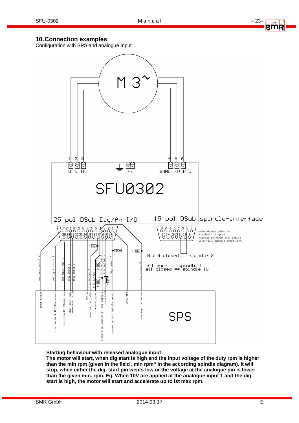RMR

#### **10. Connection examples**

Configuration with SPS and analogue Input



**Starting behaviour with released analogue input:** 

**The motor will start, when dig start is high and the input voltage of the duty rpm is higher**  than the min rpm (given in the field "min rpm" in the according spindle diagram). It will **stop, when either the dig. start pin wents low or the voltage at the analogue pin is lower than the given min. rpm. Eg. When 10V are applied at the analogue input 1 and the dig. start is high, the motor will start and accelerate up to ist max rpm.**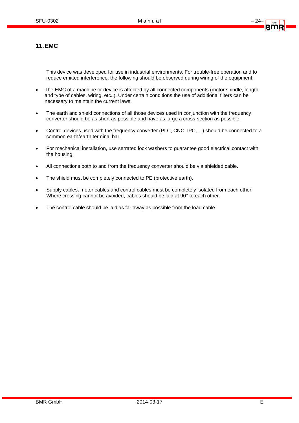#### **11. EMC**

 This device was developed for use in industrial environments. For trouble-free operation and to reduce emitted interference, the following should be observed during wiring of the equipment:

- The EMC of a machine or device is affected by all connected components (motor spindle, length and type of cables, wiring, etc..). Under certain conditions the use of additional filters can be necessary to maintain the current laws.
- The earth and shield connections of all those devices used in conjunction with the frequency converter should be as short as possible and have as large a cross-section as possible.
- Control devices used with the frequency converter (PLC, CNC, IPC, ...) should be connected to a common earth/earth terminal bar.
- For mechanical installation, use serrated lock washers to guarantee good electrical contact with the housing.
- All connections both to and from the frequency converter should be via shielded cable.
- The shield must be completely connected to PE (protective earth).
- Supply cables, motor cables and control cables must be completely isolated from each other. Where crossing cannot be avoided, cables should be laid at 90° to each other.
- The control cable should be laid as far away as possible from the load cable.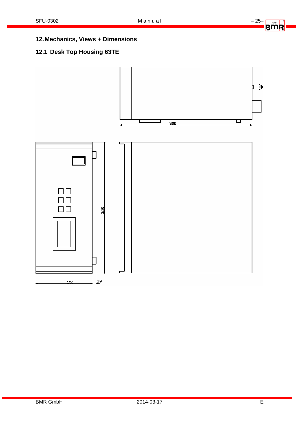# **12. Mechanics, Views + Dimensions**

# **12.1 Desk Top Housing 63TE**

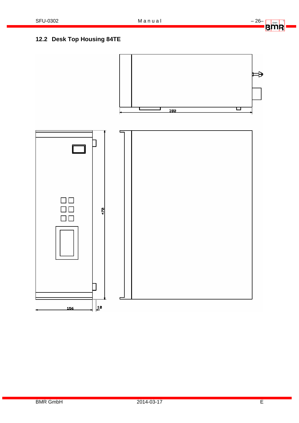# **12.2 Desk Top Housing 84TE**

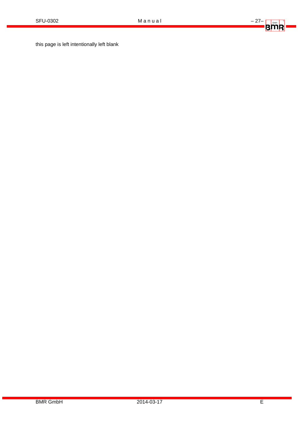

this page is left intentionally left blank